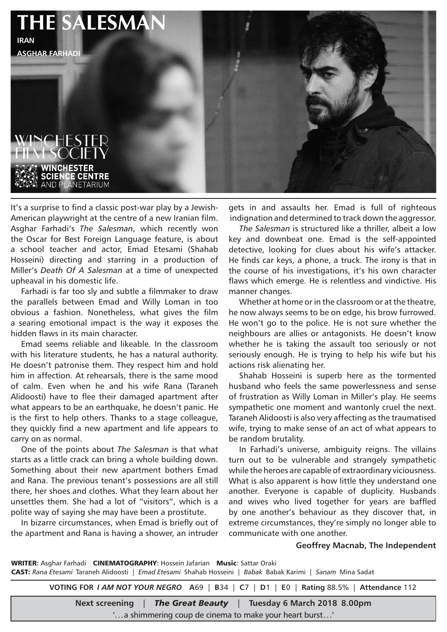

It's a surprise to find a classic post-war play by a Jewish-American playwright at the centre of a new Iranian film. Asghar Farhadi's *The Salesman*, which recently won the Oscar for Best Foreign Language feature, is about a school teacher and actor, Emad Etesami (Shahab Hosseini) directing and starring in a production of Miller's *Death Of A Salesman* at a time of unexpected upheaval in his domestic life.

Farhadi is far too sly and subtle a filmmaker to draw the parallels between Emad and Willy Loman in too obvious a fashion. Nonetheless, what gives the film a searing emotional impact is the way it exposes the hidden flaws in its main character.

Emad seems reliable and likeable. In the classroom with his literature students, he has a natural authority. He doesn't patronise them. They respect him and hold him in affection. At rehearsals, there is the same mood of calm. Even when he and his wife Rana (Taraneh Alidoosti) have to flee their damaged apartment after what appears to be an earthquake, he doesn't panic. He is the first to help others. Thanks to a stage colleague, they quickly find a new apartment and life appears to carry on as normal.

One of the points about *The Salesman* is that what starts as a little crack can bring a whole building down. Something about their new apartment bothers Emad and Rana. The previous tenant's possessions are all still there, her shoes and clothes. What they learn about her unsettles them. She had a lot of "visitors", which is a polite way of saying she may have been a prostitute.

In bizarre circumstances, when Emad is briefly out of the apartment and Rana is having a shower, an intruder

gets in and assaults her. Emad is full of righteous indignation and determined to track down the aggressor.

*The Salesman* is structured like a thriller, albeit a low key and downbeat one. Emad is the self-appointed detective, looking for clues about his wife's attacker. He finds car keys, a phone, a truck. The irony is that in the course of his investigations, it's his own character flaws which emerge. He is relentless and vindictive. His manner changes.

Whether at home or in the classroom or at the theatre, he now always seems to be on edge, his brow furrowed. He won't go to the police. He is not sure whether the neighbours are allies or antagonists. He doesn't know whether he is taking the assault too seriously or not seriously enough. He is trying to help his wife but his actions risk alienating her.

Shahab Hosseini is superb here as the tormented husband who feels the same powerlessness and sense of frustration as Willy Loman in Miller's play. He seems sympathetic one moment and wantonly cruel the next. Taraneh Alidoosti is also very affecting as the traumatised wife, trying to make sense of an act of what appears to be random brutality.

In Farhadi's universe, ambiguity reigns. The villains turn out to be vulnerable and strangely sympathetic while the heroes are capable of extraordinary viciousness. What is also apparent is how little they understand one another. Everyone is capable of duplicity. Husbands and wives who lived together for years are baffled by one another's behaviour as they discover that, in extreme circumstances, they're simply no longer able to communicate with one another.

## **Geoffrey Macnab, The Independent**

WRITER: Asghar Farhadi CINEMATOGRAPHY: Hossein Jafarian Music: Sattar Oraki CAST: *Rana Etesami* Taraneh Alidoosti | *Emad Etesami* Shahab Hosseini | *Babak* Babak Karimi | *Sanam* Mina Sadat

**VOTING FOR** *I AM NOT YOUR NEGRO* **A**69 | **B**34 | **C**7 | **D**1 | **E**0 | **Rating** 88.5% | **Attendance** 112

**Next screening** | *The Great Beauty* | **Tuesday 6 March 2018 8.00pm**

'...a shimmering coup de cinema to make your heart burst...'